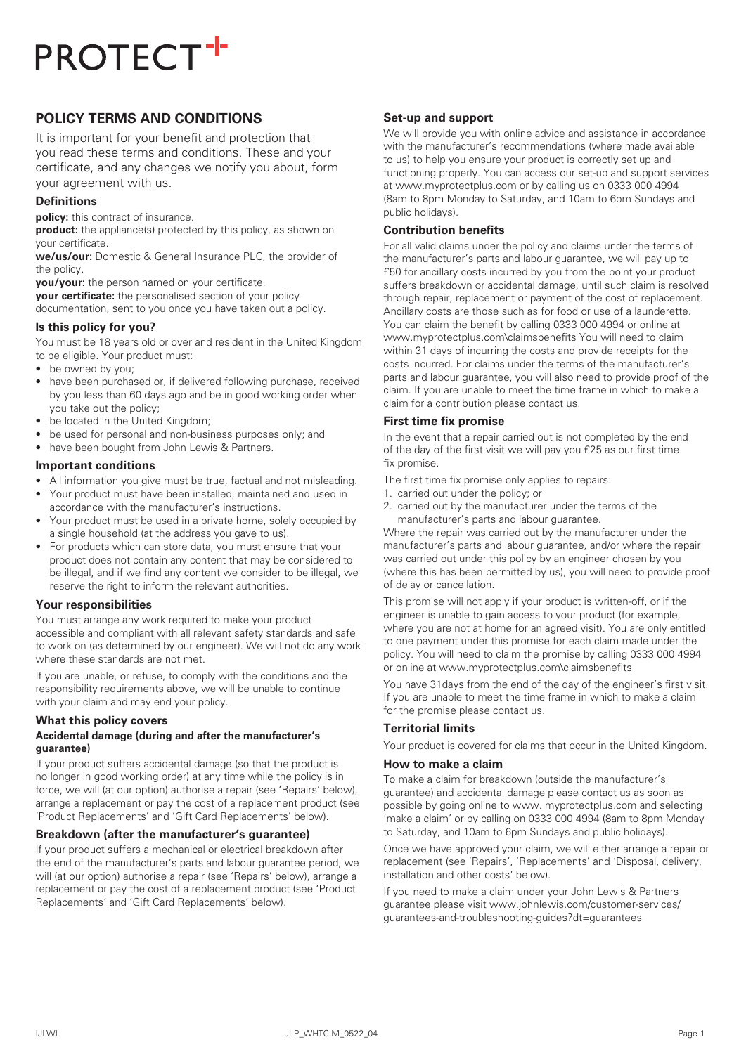# **POLICY TERMS AND CONDITIONS**

It is important for your benefit and protection that you read these terms and conditions. These and your certificate, and any changes we notify you about, form your agreement with us.

### **Definitions**

**policy:** this contract of insurance.

**product:** the appliance(s) protected by this policy, as shown on your certificate.

**we/us/our:** Domestic & General Insurance PLC, the provider of the policy.

**you/your:** the person named on your certificate.

**your certificate:** the personalised section of your policy

documentation, sent to you once you have taken out a policy.

#### **Is this policy for you?**

You must be 18 years old or over and resident in the United Kingdom to be eligible. Your product must:

- be owned by you;
- have been purchased or, if delivered following purchase, received by you less than 60 days ago and be in good working order when you take out the policy;
- be located in the United Kingdom;
- be used for personal and non-business purposes only; and
- have been bought from John Lewis & Partners.

#### **Important conditions**

- All information you give must be true, factual and not misleading.
- Your product must have been installed, maintained and used in accordance with the manufacturer's instructions.
- Your product must be used in a private home, solely occupied by a single household (at the address you gave to us).
- For products which can store data, you must ensure that your product does not contain any content that may be considered to be illegal, and if we find any content we consider to be illegal, we reserve the right to inform the relevant authorities.

#### **Your responsibilities**

You must arrange any work required to make your product accessible and compliant with all relevant safety standards and safe to work on (as determined by our engineer). We will not do any work where these standards are not met.

If you are unable, or refuse, to comply with the conditions and the responsibility requirements above, we will be unable to continue with your claim and may end your policy.

#### **What this policy covers**

## **Accidental damage (during and after the manufacturer's guarantee)**

If your product suffers accidental damage (so that the product is no longer in good working order) at any time while the policy is in force, we will (at our option) authorise a repair (see 'Repairs' below), arrange a replacement or pay the cost of a replacement product (see 'Product Replacements' and 'Gift Card Replacements' below).

## **Breakdown (after the manufacturer's guarantee)**

If your product suffers a mechanical or electrical breakdown after the end of the manufacturer's parts and labour guarantee period, we will (at our option) authorise a repair (see 'Repairs' below), arrange a replacement or pay the cost of a replacement product (see 'Product Replacements' and 'Gift Card Replacements' below).

#### **Set-up and support**

We will provide you with online advice and assistance in accordance with the manufacturer's recommendations (where made available to us) to help you ensure your product is correctly set up and functioning properly. You can access our set-up and support services at www.myprotectplus.com or by calling us on 0333 000 4994 (8am to 8pm Monday to Saturday, and 10am to 6pm Sundays and public holidays).

#### **Contribution benefits**

For all valid claims under the policy and claims under the terms of the manufacturer's parts and labour guarantee, we will pay up to £50 for ancillary costs incurred by you from the point your product suffers breakdown or accidental damage, until such claim is resolved through repair, replacement or payment of the cost of replacement. Ancillary costs are those such as for food or use of a launderette. You can claim the benefit by calling 0333 000 4994 or online at www.myprotectplus.com\claimsbenefits You will need to claim within 31 days of incurring the costs and provide receipts for the costs incurred. For claims under the terms of the manufacturer's parts and labour guarantee, you will also need to provide proof of the claim. If you are unable to meet the time frame in which to make a claim for a contribution please contact us.

#### **First time fix promise**

In the event that a repair carried out is not completed by the end of the day of the first visit we will pay you £25 as our first time fix promise.

- The first time fix promise only applies to repairs:
- 1. carried out under the policy; or
- 2. carried out by the manufacturer under the terms of the manufacturer's parts and labour guarantee.

Where the repair was carried out by the manufacturer under the manufacturer's parts and labour guarantee, and/or where the repair was carried out under this policy by an engineer chosen by you (where this has been permitted by us), you will need to provide proof of delay or cancellation.

This promise will not apply if your product is written-off, or if the engineer is unable to gain access to your product (for example, where you are not at home for an agreed visit). You are only entitled to one payment under this promise for each claim made under the policy. You will need to claim the promise by calling 0333 000 4994 or online at www.myprotectplus.com\claimsbenefits

You have 31days from the end of the day of the engineer's first visit. If you are unable to meet the time frame in which to make a claim for the promise please contact us.

#### **Territorial limits**

Your product is covered for claims that occur in the United Kingdom.

## **How to make a claim**

To make a claim for breakdown (outside the manufacturer's guarantee) and accidental damage please contact us as soon as possible by going online to www. myprotectplus.com and selecting 'make a claim' or by calling on 0333 000 4994 (8am to 8pm Monday to Saturday, and 10am to 6pm Sundays and public holidays).

Once we have approved your claim, we will either arrange a repair or replacement (see 'Repairs', 'Replacements' and 'Disposal, delivery, installation and other costs' below).

If you need to make a claim under your John Lewis & Partners guarantee please visit www.johnlewis.com/customer-services/ guarantees-and-troubleshooting-guides?dt=guarantees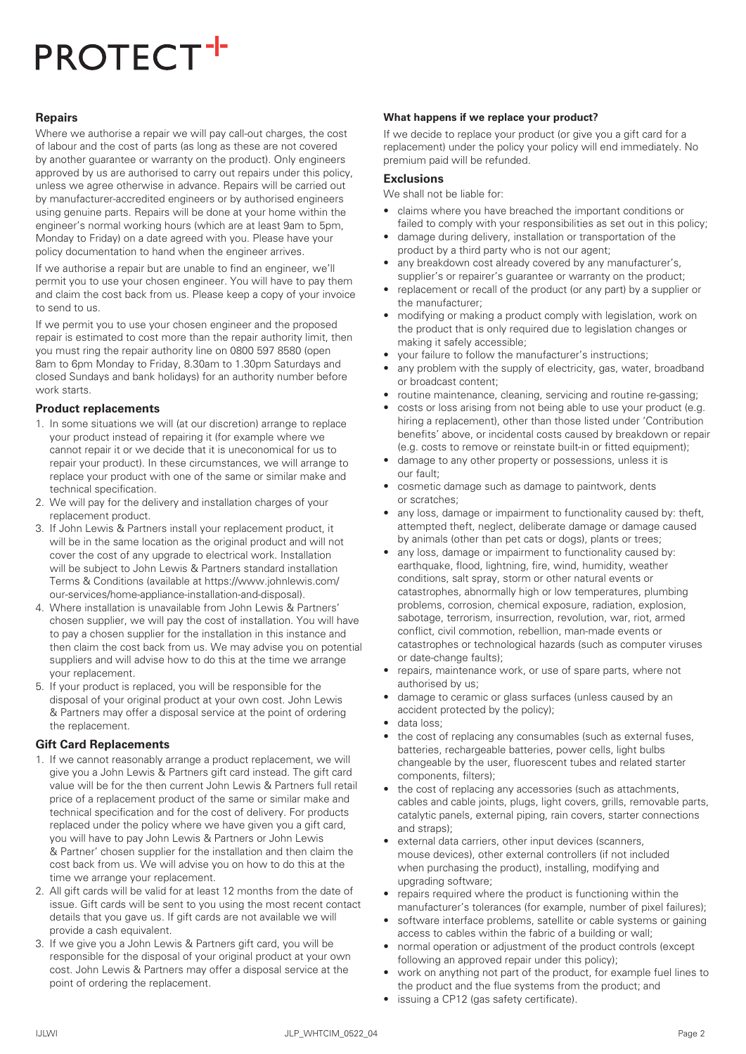### **Repairs**

Where we authorise a repair we will pay call-out charges, the cost of labour and the cost of parts (as long as these are not covered by another guarantee or warranty on the product). Only engineers approved by us are authorised to carry out repairs under this policy, unless we agree otherwise in advance. Repairs will be carried out by manufacturer-accredited engineers or by authorised engineers using genuine parts. Repairs will be done at your home within the engineer's normal working hours (which are at least 9am to 5pm, Monday to Friday) on a date agreed with you. Please have your policy documentation to hand when the engineer arrives.

If we authorise a repair but are unable to find an engineer, we'll permit you to use your chosen engineer. You will have to pay them and claim the cost back from us. Please keep a copy of your invoice to send to us.

If we permit you to use your chosen engineer and the proposed repair is estimated to cost more than the repair authority limit, then you must ring the repair authority line on 0800 597 8580 (open 8am to 6pm Monday to Friday, 8.30am to 1.30pm Saturdays and closed Sundays and bank holidays) for an authority number before work starts.

#### **Product replacements**

- 1. In some situations we will (at our discretion) arrange to replace your product instead of repairing it (for example where we cannot repair it or we decide that it is uneconomical for us to repair your product). In these circumstances, we will arrange to replace your product with one of the same or similar make and technical specification.
- 2. We will pay for the delivery and installation charges of your replacement product.
- 3. If John Lewis & Partners install your replacement product, it will be in the same location as the original product and will not cover the cost of any upgrade to electrical work. Installation will be subject to John Lewis & Partners standard installation Terms & Conditions (available at https://www.johnlewis.com/ our-services/home-appliance-installation-and-disposal).
- 4. Where installation is unavailable from John Lewis & Partners' chosen supplier, we will pay the cost of installation. You will have to pay a chosen supplier for the installation in this instance and then claim the cost back from us. We may advise you on potential suppliers and will advise how to do this at the time we arrange your replacement.
- 5. If your product is replaced, you will be responsible for the disposal of your original product at your own cost. John Lewis & Partners may offer a disposal service at the point of ordering the replacement.

#### **Gift Card Replacements**

- 1. If we cannot reasonably arrange a product replacement, we will give you a John Lewis & Partners gift card instead. The gift card value will be for the then current John Lewis & Partners full retail price of a replacement product of the same or similar make and technical specification and for the cost of delivery. For products replaced under the policy where we have given you a gift card, you will have to pay John Lewis & Partners or John Lewis & Partner' chosen supplier for the installation and then claim the cost back from us. We will advise you on how to do this at the time we arrange your replacement.
- 2. All gift cards will be valid for at least 12 months from the date of issue. Gift cards will be sent to you using the most recent contact details that you gave us. If gift cards are not available we will provide a cash equivalent.
- 3. If we give you a John Lewis & Partners gift card, you will be responsible for the disposal of your original product at your own cost. John Lewis & Partners may offer a disposal service at the point of ordering the replacement.

## **What happens if we replace your product?**

If we decide to replace your product (or give you a gift card for a replacement) under the policy your policy will end immediately. No premium paid will be refunded.

## **Exclusions**

We shall not be liable for:

- claims where you have breached the important conditions or failed to comply with your responsibilities as set out in this policy;
- damage during delivery, installation or transportation of the product by a third party who is not our agent;
- any breakdown cost already covered by any manufacturer's, supplier's or repairer's guarantee or warranty on the product;
- replacement or recall of the product (or any part) by a supplier or the manufacturer;
- modifying or making a product comply with legislation, work on the product that is only required due to legislation changes or making it safely accessible;
- your failure to follow the manufacturer's instructions;
- any problem with the supply of electricity, gas, water, broadband or broadcast content;
- routine maintenance, cleaning, servicing and routine re-gassing;
- costs or loss arising from not being able to use your product (e.g. hiring a replacement), other than those listed under 'Contribution benefits' above, or incidental costs caused by breakdown or repair (e.g. costs to remove or reinstate built-in or fitted equipment);
- damage to any other property or possessions, unless it is our fault;
- cosmetic damage such as damage to paintwork, dents or scratches;
- any loss, damage or impairment to functionality caused by: theft, attempted theft, neglect, deliberate damage or damage caused by animals (other than pet cats or dogs), plants or trees;
- any loss, damage or impairment to functionality caused by: earthquake, flood, lightning, fire, wind, humidity, weather conditions, salt spray, storm or other natural events or catastrophes, abnormally high or low temperatures, plumbing problems, corrosion, chemical exposure, radiation, explosion, sabotage, terrorism, insurrection, revolution, war, riot, armed conflict, civil commotion, rebellion, man-made events or catastrophes or technological hazards (such as computer viruses or date-change faults);
- repairs, maintenance work, or use of spare parts, where not authorised by us;
- damage to ceramic or glass surfaces (unless caused by an accident protected by the policy);
- data loss;
- the cost of replacing any consumables (such as external fuses, batteries, rechargeable batteries, power cells, light bulbs changeable by the user, fluorescent tubes and related starter components, filters);
- the cost of replacing any accessories (such as attachments, cables and cable joints, plugs, light covers, grills, removable parts, catalytic panels, external piping, rain covers, starter connections and straps);
- external data carriers, other input devices (scanners, mouse devices), other external controllers (if not included when purchasing the product), installing, modifying and upgrading software;
- repairs required where the product is functioning within the manufacturer's tolerances (for example, number of pixel failures);
- software interface problems, satellite or cable systems or gaining access to cables within the fabric of a building or wall;
- normal operation or adjustment of the product controls (except following an approved repair under this policy);
- work on anything not part of the product, for example fuel lines to the product and the flue systems from the product; and
- issuing a CP12 (gas safety certificate).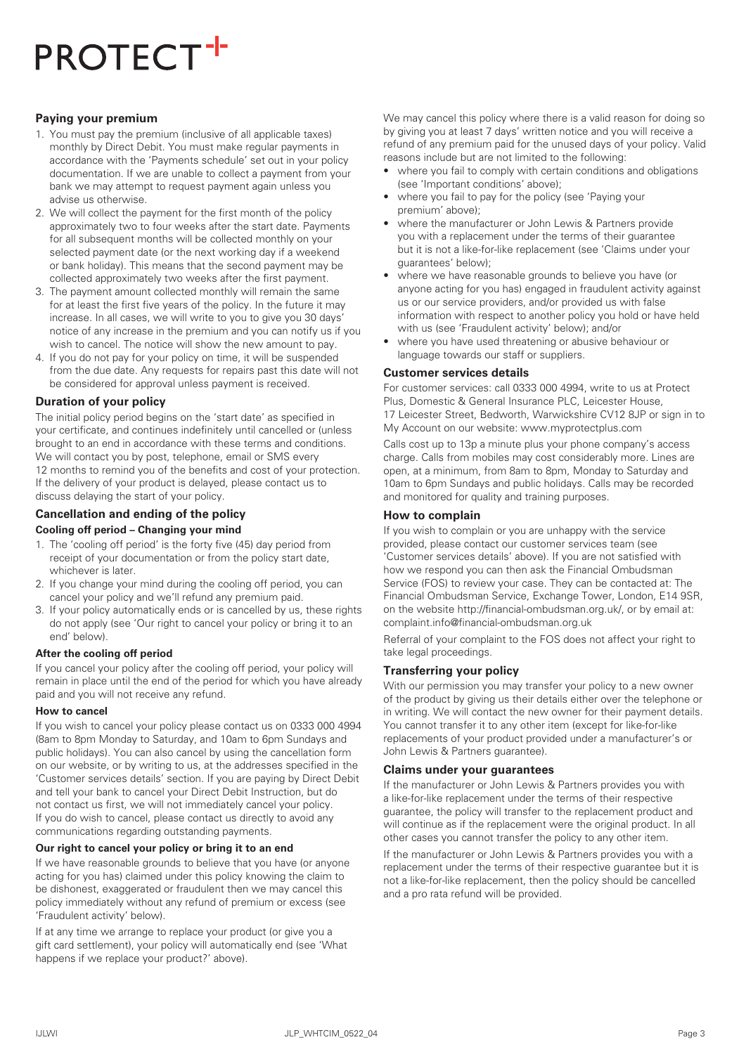## **Paying your premium**

- 1. You must pay the premium (inclusive of all applicable taxes) monthly by Direct Debit. You must make regular payments in accordance with the 'Payments schedule' set out in your policy documentation. If we are unable to collect a payment from your bank we may attempt to request payment again unless you advise us otherwise.
- 2. We will collect the payment for the first month of the policy approximately two to four weeks after the start date. Payments for all subsequent months will be collected monthly on your selected payment date (or the next working day if a weekend or bank holiday). This means that the second payment may be collected approximately two weeks after the first payment.
- 3. The payment amount collected monthly will remain the same for at least the first five years of the policy. In the future it may increase. In all cases, we will write to you to give you 30 days' notice of any increase in the premium and you can notify us if you wish to cancel. The notice will show the new amount to pay.
- 4. If you do not pay for your policy on time, it will be suspended from the due date. Any requests for repairs past this date will not be considered for approval unless payment is received.

#### **Duration of your policy**

The initial policy period begins on the 'start date' as specified in your certificate, and continues indefinitely until cancelled or (unless brought to an end in accordance with these terms and conditions. We will contact you by post, telephone, email or SMS every 12 months to remind you of the benefits and cost of your protection. If the delivery of your product is delayed, please contact us to discuss delaying the start of your policy.

## **Cancellation and ending of the policy**

#### **Cooling off period – Changing your mind**

- 1. The 'cooling off period' is the forty five (45) day period from receipt of your documentation or from the policy start date, whichever is later.
- 2. If you change your mind during the cooling off period, you can cancel your policy and we'll refund any premium paid.
- 3. If your policy automatically ends or is cancelled by us, these rights do not apply (see 'Our right to cancel your policy or bring it to an end' below).

#### **After the cooling off period**

If you cancel your policy after the cooling off period, your policy will remain in place until the end of the period for which you have already paid and you will not receive any refund.

#### **How to cancel**

If you wish to cancel your policy please contact us on 0333 000 4994 (8am to 8pm Monday to Saturday, and 10am to 6pm Sundays and public holidays). You can also cancel by using the cancellation form on our website, or by writing to us, at the addresses specified in the 'Customer services details' section. If you are paying by Direct Debit and tell your bank to cancel your Direct Debit Instruction, but do not contact us first, we will not immediately cancel your policy. If you do wish to cancel, please contact us directly to avoid any communications regarding outstanding payments.

#### **Our right to cancel your policy or bring it to an end**

If we have reasonable grounds to believe that you have (or anyone acting for you has) claimed under this policy knowing the claim to be dishonest, exaggerated or fraudulent then we may cancel this policy immediately without any refund of premium or excess (see 'Fraudulent activity' below).

If at any time we arrange to replace your product (or give you a gift card settlement), your policy will automatically end (see 'What happens if we replace your product?' above).

We may cancel this policy where there is a valid reason for doing so by giving you at least 7 days' written notice and you will receive a refund of any premium paid for the unused days of your policy. Valid reasons include but are not limited to the following:

- where you fail to comply with certain conditions and obligations (see 'Important conditions' above);
- where you fail to pay for the policy (see 'Paying your premium' above);
- where the manufacturer or John Lewis & Partners provide you with a replacement under the terms of their guarantee but it is not a like-for-like replacement (see 'Claims under your guarantees' below);
- where we have reasonable grounds to believe you have (or anyone acting for you has) engaged in fraudulent activity against us or our service providers, and/or provided us with false information with respect to another policy you hold or have held with us (see 'Fraudulent activity' below); and/or
- where you have used threatening or abusive behaviour or language towards our staff or suppliers.

#### **Customer services details**

For customer services: call 0333 000 4994, write to us at Protect Plus, Domestic & General Insurance PLC, Leicester House, 17 Leicester Street, Bedworth, Warwickshire CV12 8JP or sign in to My Account on our website: www.myprotectplus.com

Calls cost up to 13p a minute plus your phone company's access charge. Calls from mobiles may cost considerably more. Lines are open, at a minimum, from 8am to 8pm, Monday to Saturday and 10am to 6pm Sundays and public holidays. Calls may be recorded and monitored for quality and training purposes.

#### **How to complain**

If you wish to complain or you are unhappy with the service provided, please contact our customer services team (see 'Customer services details' above). If you are not satisfied with how we respond you can then ask the Financial Ombudsman Service (FOS) to review your case. They can be contacted at: The Financial Ombudsman Service, Exchange Tower, London, E14 9SR, on the website http://financial-ombudsman.org.uk/, or by email at: complaint.info@financial-ombudsman.org.uk

Referral of your complaint to the FOS does not affect your right to take legal proceedings.

#### **Transferring your policy**

With our permission you may transfer your policy to a new owner of the product by giving us their details either over the telephone or in writing. We will contact the new owner for their payment details. You cannot transfer it to any other item (except for like-for-like replacements of your product provided under a manufacturer's or John Lewis & Partners guarantee).

#### **Claims under your guarantees**

If the manufacturer or John Lewis & Partners provides you with a like-for-like replacement under the terms of their respective guarantee, the policy will transfer to the replacement product and will continue as if the replacement were the original product. In all other cases you cannot transfer the policy to any other item.

If the manufacturer or John Lewis & Partners provides you with a replacement under the terms of their respective guarantee but it is not a like-for-like replacement, then the policy should be cancelled and a pro rata refund will be provided.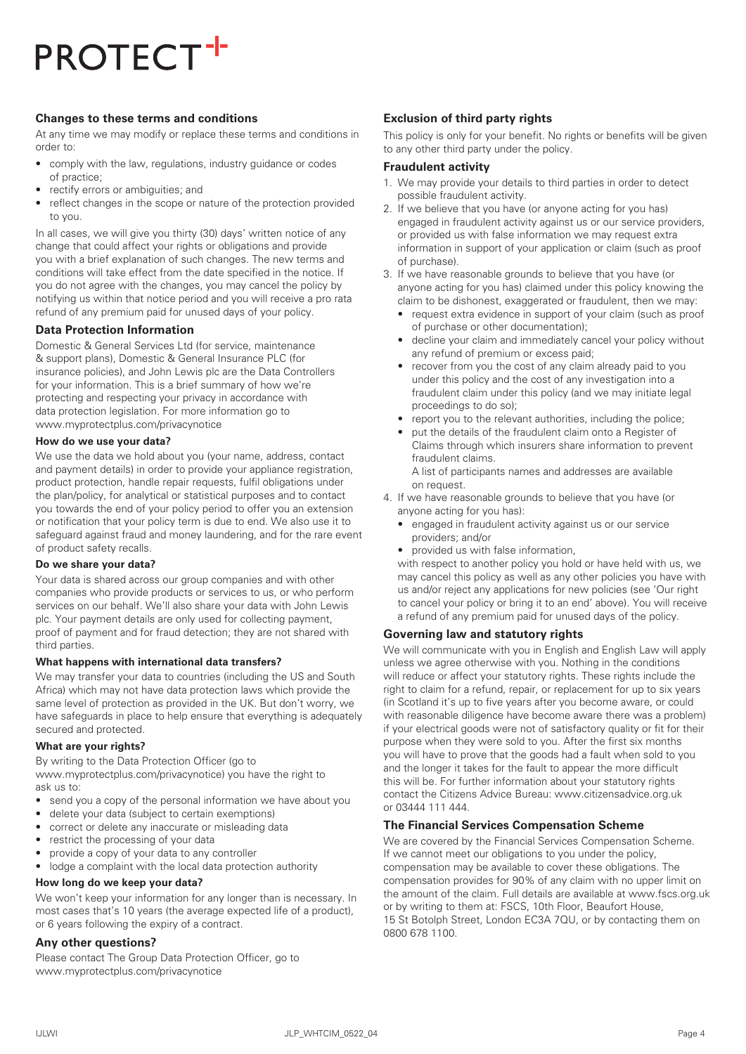## **Changes to these terms and conditions**

At any time we may modify or replace these terms and conditions in order to:

- comply with the law, regulations, industry guidance or codes of practice;
- rectify errors or ambiguities; and
- reflect changes in the scope or nature of the protection provided to you.

In all cases, we will give you thirty (30) days' written notice of any change that could affect your rights or obligations and provide you with a brief explanation of such changes. The new terms and conditions will take effect from the date specified in the notice. If you do not agree with the changes, you may cancel the policy by notifying us within that notice period and you will receive a pro rata refund of any premium paid for unused days of your policy.

# **Data Protection Information**

Domestic & General Services Ltd (for service, maintenance & support plans), Domestic & General Insurance PLC (for insurance policies), and John Lewis plc are the Data Controllers for your information. This is a brief summary of how we're protecting and respecting your privacy in accordance with data protection legislation. For more information go to www.myprotectplus.com/privacynotice

## **How do we use your data?**

We use the data we hold about you (your name, address, contact and payment details) in order to provide your appliance registration, product protection, handle repair requests, fulfil obligations under the plan/policy, for analytical or statistical purposes and to contact you towards the end of your policy period to offer you an extension or notification that your policy term is due to end. We also use it to safeguard against fraud and money laundering, and for the rare event of product safety recalls.

# **Do we share your data?**

Your data is shared across our group companies and with other companies who provide products or services to us, or who perform services on our behalf. We'll also share your data with John Lewis plc. Your payment details are only used for collecting payment, proof of payment and for fraud detection; they are not shared with third parties.

# **What happens with international data transfers?**

We may transfer your data to countries (including the US and South Africa) which may not have data protection laws which provide the same level of protection as provided in the UK. But don't worry, we have safeguards in place to help ensure that everything is adequately secured and protected.

# **What are your rights?**

By writing to the Data Protection Officer (go to www.myprotectplus.com/privacynotice) you have the right to ask us to:

- send you a copy of the personal information we have about you
- delete your data (subject to certain exemptions)
- correct or delete any inaccurate or misleading data
- restrict the processing of your data
- provide a copy of your data to any controller
- lodge a complaint with the local data protection authority

## **How long do we keep your data?**

We won't keep your information for any longer than is necessary. In most cases that's 10 years (the average expected life of a product), or 6 years following the expiry of a contract.

## **Any other questions?**

Please contact The Group Data Protection Officer, go to www.myprotectplus.com/privacynotice

# **Exclusion of third party rights**

This policy is only for your benefit. No rights or benefits will be given to any other third party under the policy.

#### **Fraudulent activity**

- 1. We may provide your details to third parties in order to detect possible fraudulent activity.
- 2. If we believe that you have (or anyone acting for you has) engaged in fraudulent activity against us or our service providers, or provided us with false information we may request extra information in support of your application or claim (such as proof of purchase).
- 3. If we have reasonable grounds to believe that you have (or anyone acting for you has) claimed under this policy knowing the claim to be dishonest, exaggerated or fraudulent, then we may:
	- request extra evidence in support of your claim (such as proof of purchase or other documentation);
	- decline your claim and immediately cancel your policy without any refund of premium or excess paid;
	- recover from you the cost of any claim already paid to you under this policy and the cost of any investigation into a fraudulent claim under this policy (and we may initiate legal proceedings to do so);
	- report you to the relevant authorities, including the police:
	- put the details of the fraudulent claim onto a Register of Claims through which insurers share information to prevent fraudulent claims.

A list of participants names and addresses are available on request.

- 4. If we have reasonable grounds to believe that you have (or anyone acting for you has):
	- engaged in fraudulent activity against us or our service providers; and/or
	- provided us with false information,

with respect to another policy you hold or have held with us, we may cancel this policy as well as any other policies you have with us and/or reject any applications for new policies (see 'Our right to cancel your policy or bring it to an end' above). You will receive a refund of any premium paid for unused days of the policy.

# **Governing law and statutory rights**

We will communicate with you in English and English Law will apply unless we agree otherwise with you. Nothing in the conditions will reduce or affect your statutory rights. These rights include the right to claim for a refund, repair, or replacement for up to six years (in Scotland it's up to five years after you become aware, or could with reasonable diligence have become aware there was a problem) if your electrical goods were not of satisfactory quality or fit for their purpose when they were sold to you. After the first six months you will have to prove that the goods had a fault when sold to you and the longer it takes for the fault to appear the more difficult this will be. For further information about your statutory rights contact the Citizens Advice Bureau: www.citizensadvice.org.uk or 03444 111 444.

# **The Financial Services Compensation Scheme**

We are covered by the Financial Services Compensation Scheme. If we cannot meet our obligations to you under the policy, compensation may be available to cover these obligations. The compensation provides for 90% of any claim with no upper limit on the amount of the claim. Full details are available at www.fscs.org.uk or by writing to them at: FSCS, 10th Floor, Beaufort House, 15 St Botolph Street, London EC3A 7QU, or by contacting them on 0800 678 1100.